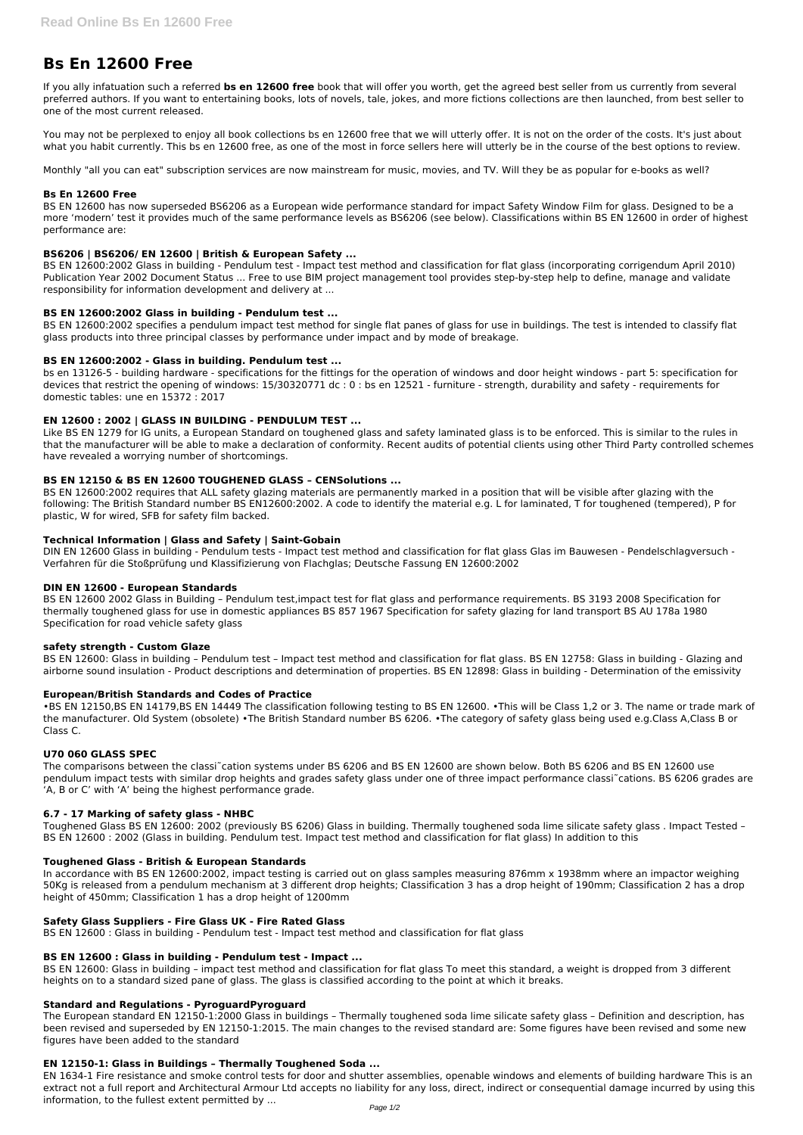# **Bs En 12600 Free**

If you ally infatuation such a referred **bs en 12600 free** book that will offer you worth, get the agreed best seller from us currently from several preferred authors. If you want to entertaining books, lots of novels, tale, jokes, and more fictions collections are then launched, from best seller to one of the most current released.

You may not be perplexed to enjoy all book collections bs en 12600 free that we will utterly offer. It is not on the order of the costs. It's just about what you habit currently. This bs en 12600 free, as one of the most in force sellers here will utterly be in the course of the best options to review.

Monthly "all you can eat" subscription services are now mainstream for music, movies, and TV. Will they be as popular for e-books as well?

## **Bs En 12600 Free**

BS EN 12600 has now superseded BS6206 as a European wide performance standard for impact Safety Window Film for glass. Designed to be a more 'modern' test it provides much of the same performance levels as BS6206 (see below). Classifications within BS EN 12600 in order of highest performance are:

#### **BS6206 | BS6206/ EN 12600 | British & European Safety ...**

BS EN 12600:2002 Glass in building - Pendulum test - Impact test method and classification for flat glass (incorporating corrigendum April 2010) Publication Year 2002 Document Status ... Free to use BIM project management tool provides step-by-step help to define, manage and validate responsibility for information development and delivery at ...

#### **BS EN 12600:2002 Glass in building - Pendulum test ...**

BS EN 12600:2002 specifies a pendulum impact test method for single flat panes of glass for use in buildings. The test is intended to classify flat glass products into three principal classes by performance under impact and by mode of breakage.

#### **BS EN 12600:2002 - Glass in building. Pendulum test ...**

bs en 13126-5 - building hardware - specifications for the fittings for the operation of windows and door height windows - part 5: specification for devices that restrict the opening of windows: 15/30320771 dc : 0 : bs en 12521 - furniture - strength, durability and safety - requirements for domestic tables: une en 15372 : 2017

#### **EN 12600 : 2002 | GLASS IN BUILDING - PENDULUM TEST ...**

Like BS EN 1279 for IG units, a European Standard on toughened glass and safety laminated glass is to be enforced. This is similar to the rules in that the manufacturer will be able to make a declaration of conformity. Recent audits of potential clients using other Third Party controlled schemes have revealed a worrying number of shortcomings.

# **BS EN 12150 & BS EN 12600 TOUGHENED GLASS – CENSolutions ...**

BS EN 12600:2002 requires that ALL safety glazing materials are permanently marked in a position that will be visible after glazing with the following: The British Standard number BS EN12600:2002. A code to identify the material e.g. L for laminated, T for toughened (tempered), P for plastic, W for wired, SFB for safety film backed.

# **Technical Information | Glass and Safety | Saint-Gobain**

DIN EN 12600 Glass in building - Pendulum tests - Impact test method and classification for flat glass Glas im Bauwesen - Pendelschlagversuch - Verfahren für die Stoßprüfung und Klassifizierung von Flachglas; Deutsche Fassung EN 12600:2002

#### **DIN EN 12600 - European Standards**

BS EN 12600 2002 Glass in Building – Pendulum test,impact test for flat glass and performance requirements. BS 3193 2008 Specification for thermally toughened glass for use in domestic appliances BS 857 1967 Specification for safety glazing for land transport BS AU 178a 1980 Specification for road vehicle safety glass

#### **safety strength - Custom Glaze**

BS EN 12600: Glass in building – Pendulum test – Impact test method and classification for flat glass. BS EN 12758: Glass in building - Glazing and airborne sound insulation - Product descriptions and determination of properties. BS EN 12898: Glass in building - Determination of the emissivity

# **European/British Standards and Codes of Practice**

•BS EN 12150,BS EN 14179,BS EN 14449 The classification following testing to BS EN 12600. •This will be Class 1,2 or 3. The name or trade mark of the manufacturer. Old System (obsolete) •The British Standard number BS 6206. •The category of safety glass being used e.g.Class A,Class B or Class C.

# **U70 060 GLASS SPEC**

The comparisons between the classi˜cation systems under BS 6206 and BS EN 12600 are shown below. Both BS 6206 and BS EN 12600 use pendulum impact tests with similar drop heights and grades safety glass under one of three impact performance classi~cations. BS 6206 grades are 'A, B or C' with 'A' being the highest performance grade.

#### **6.7 - 17 Marking of safety glass - NHBC**

Toughened Glass BS EN 12600: 2002 (previously BS 6206) Glass in building. Thermally toughened soda lime silicate safety glass . Impact Tested – BS EN 12600 : 2002 (Glass in building. Pendulum test. Impact test method and classification for flat glass) In addition to this

#### **Toughened Glass - British & European Standards**

In accordance with BS EN 12600:2002, impact testing is carried out on glass samples measuring 876mm x 1938mm where an impactor weighing 50Kg is released from a pendulum mechanism at 3 different drop heights; Classification 3 has a drop height of 190mm; Classification 2 has a drop height of 450mm; Classification 1 has a drop height of 1200mm

## **Safety Glass Suppliers - Fire Glass UK - Fire Rated Glass**

BS EN 12600 : Glass in building - Pendulum test - Impact test method and classification for flat glass

#### **BS EN 12600 : Glass in building - Pendulum test - Impact ...**

BS EN 12600: Glass in building – impact test method and classification for flat glass To meet this standard, a weight is dropped from 3 different heights on to a standard sized pane of glass. The glass is classified according to the point at which it breaks.

#### **Standard and Regulations - PyroguardPyroguard**

The European standard EN 12150-1:2000 Glass in buildings – Thermally toughened soda lime silicate safety glass – Definition and description, has been revised and superseded by EN 12150-1:2015. The main changes to the revised standard are: Some figures have been revised and some new figures have been added to the standard

#### **EN 12150-1: Glass in Buildings – Thermally Toughened Soda ...**

EN 1634-1 Fire resistance and smoke control tests for door and shutter assemblies, openable windows and elements of building hardware This is an extract not a full report and Architectural Armour Ltd accepts no liability for any loss, direct, indirect or consequential damage incurred by using this information, to the fullest extent permitted by ...